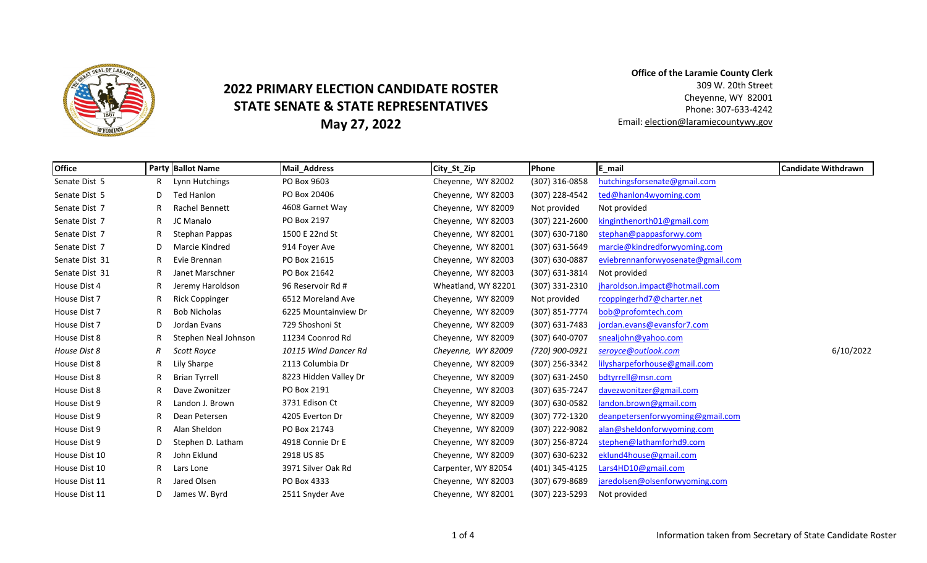

## **2022 PRIMARY ELECTION CANDIDATE ROSTER STATE SENATE & STATE REPRESENTATIVES May 27, 2022**

**Office of the Laramie County Clerk** 309 W. 20th Street Cheyenne, WY 82001 Phone: 307‐633‐4242 Email: election@laramiecountywy.gov

| <b>Office</b>  |    | <b>Party Ballot Name</b> | <b>Mail_Address</b>   | City_St_Zip         | Phone            | E_mail                            | <b>Candidate Withdrawn</b> |
|----------------|----|--------------------------|-----------------------|---------------------|------------------|-----------------------------------|----------------------------|
| Senate Dist 5  |    | Lynn Hutchings           | PO Box 9603           | Cheyenne, WY 82002  | (307) 316-0858   | hutchingsforsenate@gmail.com      |                            |
| Senate Dist 5  | D  | Ted Hanlon               | PO Box 20406          | Cheyenne, WY 82003  | (307) 228-4542   | ted@hanlon4wyoming.com            |                            |
| Senate Dist 7  |    | <b>Rachel Bennett</b>    | 4608 Garnet Way       | Cheyenne, WY 82009  | Not provided     | Not provided                      |                            |
| Senate Dist 7  | R. | JC Manalo                | PO Box 2197           | Cheyenne, WY 82003  | $(307)$ 221-2600 | kinginthenorth01@gmail.com        |                            |
| Senate Dist 7  | R. | Stephan Pappas           | 1500 E 22nd St        | Cheyenne, WY 82001  | (307) 630-7180   | stephan@pappasforwy.com           |                            |
| Senate Dist 7  | D  | Marcie Kindred           | 914 Foyer Ave         | Cheyenne, WY 82001  | $(307)$ 631-5649 | marcie@kindredforwyoming.com      |                            |
| Senate Dist 31 |    | Evie Brennan             | PO Box 21615          | Cheyenne, WY 82003  | (307) 630-0887   | eviebrennanforwyosenate@gmail.com |                            |
| Senate Dist 31 |    | Janet Marschner          | PO Box 21642          | Cheyenne, WY 82003  | (307) 631-3814   | Not provided                      |                            |
| House Dist 4   |    | Jeremy Haroldson         | 96 Reservoir Rd #     | Wheatland, WY 82201 | (307) 331-2310   | jharoldson.impact@hotmail.com     |                            |
| House Dist 7   | R  | <b>Rick Coppinger</b>    | 6512 Moreland Ave     | Chevenne, WY 82009  | Not provided     | rcoppingerhd7@charter.net         |                            |
| House Dist 7   |    | <b>Bob Nicholas</b>      | 6225 Mountainview Dr  | Cheyenne, WY 82009  | (307) 851-7774   | bob@profomtech.com                |                            |
| House Dist 7   | D  | Jordan Evans             | 729 Shoshoni St       | Cheyenne, WY 82009  | $(307)$ 631-7483 | jordan.evans@evansfor7.com        |                            |
| House Dist 8   |    | Stephen Neal Johnson     | 11234 Coonrod Rd      | Cheyenne, WY 82009  | (307) 640-0707   | snealjohn@yahoo.com               |                            |
| House Dist 8   | R  | Scott Royce              | 10115 Wind Dancer Rd  | Cheyenne, WY 82009  | (720) 900-0921   | seroyce@outlook.com               | 6/10/2022                  |
| House Dist 8   |    | Lily Sharpe              | 2113 Columbia Dr      | Cheyenne, WY 82009  | (307) 256-3342   | lilysharpeforhouse@gmail.com      |                            |
| House Dist 8   |    | <b>Brian Tyrrell</b>     | 8223 Hidden Valley Dr | Cheyenne, WY 82009  | (307) 631-2450   | bdtyrrell@msn.com                 |                            |
| House Dist 8   | R  | Dave Zwonitzer           | PO Box 2191           | Cheyenne, WY 82003  | (307) 635-7247   | davezwonitzer@gmail.com           |                            |
| House Dist 9   |    | Landon J. Brown          | 3731 Edison Ct        | Cheyenne, WY 82009  | (307) 630-0582   | landon.brown@gmail.com            |                            |
| House Dist 9   |    | Dean Petersen            | 4205 Everton Dr       | Cheyenne, WY 82009  | (307) 772-1320   | deanpetersenforwyoming@gmail.com  |                            |
| House Dist 9   |    | Alan Sheldon             | PO Box 21743          | Cheyenne, WY 82009  | (307) 222-9082   | alan@sheldonforwyoming.com        |                            |
| House Dist 9   | D  | Stephen D. Latham        | 4918 Connie Dr E      | Cheyenne, WY 82009  | (307) 256-8724   | stephen@lathamforhd9.com          |                            |
| House Dist 10  | R. | John Eklund              | 2918 US 85            | Cheyenne, WY 82009  | (307) 630-6232   | eklund4house@gmail.com            |                            |
| House Dist 10  | R. | Lars Lone                | 3971 Silver Oak Rd    | Carpenter, WY 82054 | (401) 345-4125   | Lars4HD10@gmail.com               |                            |
| House Dist 11  |    | Jared Olsen              | PO Box 4333           | Cheyenne, WY 82003  | (307) 679-8689   | jaredolsen@olsenforwyoming.com    |                            |
| House Dist 11  | D  | James W. Byrd            | 2511 Snyder Ave       | Cheyenne, WY 82001  | (307) 223-5293   | Not provided                      |                            |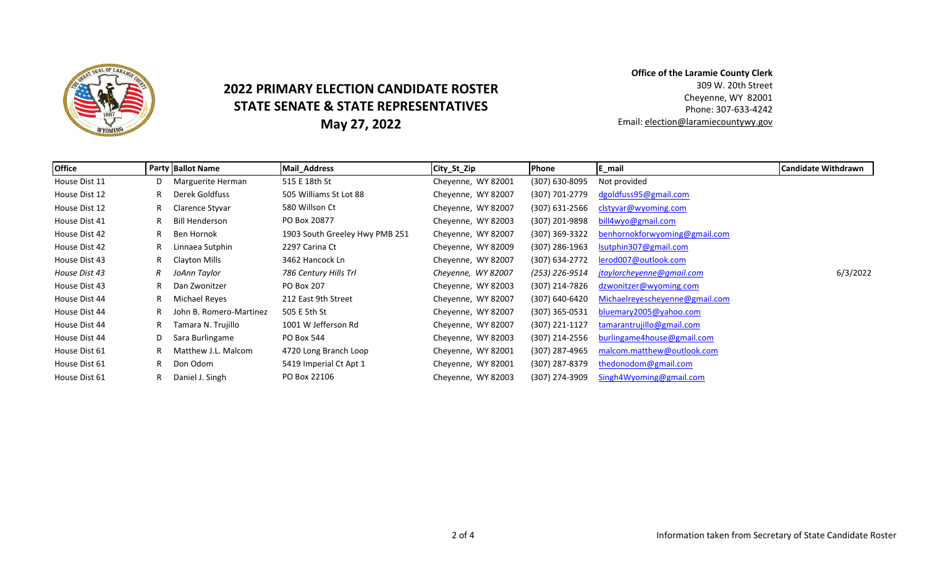

## **2022 PRIMARY ELECTION CANDIDATE ROSTER STATE SENATE & STATE REPRESENTATIVES May 27, 2022**

**Office of the Laramie County Clerk** 309 W. 20th Street Cheyenne, WY 82001 Phone: 307‐633‐4242 Email: election@laramiecountywy.gov

| <b>Office</b> |    | <b>Party Ballot Name</b> | <b>Mail Address</b>            | City_St_Zip        | Phone            | E_mail                         | <b>Candidate Withdrawn</b> |
|---------------|----|--------------------------|--------------------------------|--------------------|------------------|--------------------------------|----------------------------|
| House Dist 11 |    | Marguerite Herman        | 515 E 18th St                  | Cheyenne, WY 82001 | (307) 630-8095   | Not provided                   |                            |
| House Dist 12 | R. | Derek Goldfuss           | 505 Williams St Lot 88         | Cheyenne, WY 82007 | (307) 701-2779   | dgoldfuss95@gmail.com          |                            |
| House Dist 12 | R. | Clarence Styvar          | 580 Willson Ct                 | Cheyenne, WY 82007 | $(307)$ 631-2566 | clstyvar@wyoming.com           |                            |
| House Dist 41 | R  | <b>Bill Henderson</b>    | PO Box 20877                   | Cheyenne, WY 82003 | (307) 201-9898   | bill4wyo@gmail.com             |                            |
| House Dist 42 | R. | Ben Hornok               | 1903 South Greeley Hwy PMB 251 | Cheyenne, WY 82007 | (307) 369-3322   | benhornokforwyoming@gmail.com  |                            |
| House Dist 42 | R. | Linnaea Sutphin          | 2297 Carina Ct                 | Cheyenne, WY 82009 | (307) 286-1963   | Isutphin307@gmail.com          |                            |
| House Dist 43 | R  | Clayton Mills            | 3462 Hancock Ln                | Cheyenne, WY 82007 | (307) 634-2772   | lerod007@outlook.com           |                            |
| House Dist 43 | R  | JoAnn Taylor             | 786 Century Hills Trl          | Cheyenne, WY 82007 | (253) 226-9514   | jtaylorcheyenne@gmail.com      | 6/3/2022                   |
| House Dist 43 | R. | Dan Zwonitzer            | PO Box 207                     | Chevenne, WY 82003 | (307) 214-7826   | dzwonitzer@wyoming.com         |                            |
| House Dist 44 | R. | Michael Reyes            | 212 East 9th Street            | Cheyenne, WY 82007 | (307) 640-6420   | Michaelreyescheyenne@gmail.com |                            |
| House Dist 44 |    | John B. Romero-Martinez  | 505 E 5th St                   | Chevenne, WY 82007 | (307) 365-0531   | bluemary2005@yahoo.com         |                            |
| House Dist 44 | R. | Tamara N. Trujillo       | 1001 W Jefferson Rd            | Cheyenne, WY 82007 | $(307)$ 221-1127 | tamarantrujillo@gmail.com      |                            |
| House Dist 44 | D  | Sara Burlingame          | PO Box 544                     | Chevenne, WY 82003 | (307) 214-2556   | burlingame4house@gmail.com     |                            |
| House Dist 61 |    | Matthew J.L. Malcom      | 4720 Long Branch Loop          | Chevenne, WY 82001 | (307) 287-4965   | malcom.matthew@outlook.com     |                            |
| House Dist 61 | R. | Don Odom                 | 5419 Imperial Ct Apt 1         | Cheyenne, WY 82001 | (307) 287-8379   | thedonodom@gmail.com           |                            |
| House Dist 61 | R. | Daniel J. Singh          | PO Box 22106                   | Cheyenne, WY 82003 | (307) 274-3909   | Singh4Wyoming@gmail.com        |                            |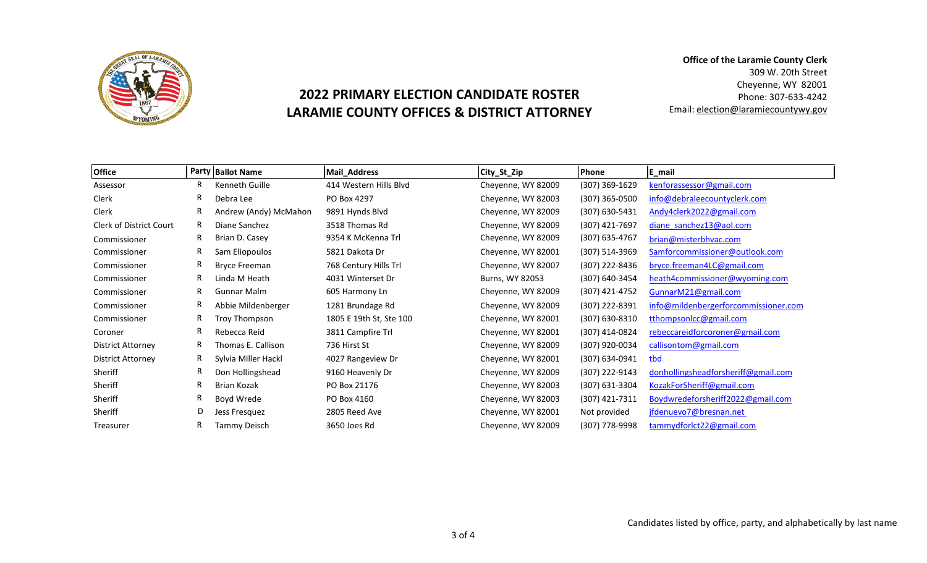

## **2022 PRIMARY ELECTION CANDIDATE ROSTER LARAMIE COUNTY OFFICES & DISTRICT ATTORNEY**

**Office of the Laramie County Clerk** 309 W. 20th Street Cheyenne, WY 82001 Phone: 307‐633‐4242 Email: election@laramiecountywy.gov

| <b>Office</b>            |    | <b>Party Ballot Name</b> | Mail_Address            | City_St_Zip        | <b>Phone</b>   | E_mail                               |
|--------------------------|----|--------------------------|-------------------------|--------------------|----------------|--------------------------------------|
| Assessor                 | R  | Kenneth Guille           | 414 Western Hills Blyd  | Cheyenne, WY 82009 | (307) 369-1629 | kenforassessor@gmail.com             |
| Clerk                    | R. | Debra Lee                | PO Box 4297             | Cheyenne, WY 82003 | (307) 365-0500 | info@debraleecountyclerk.com         |
| Clerk                    | R. | Andrew (Andy) McMahon    | 9891 Hynds Blvd         | Cheyenne, WY 82009 | (307) 630-5431 | Andy4clerk2022@gmail.com             |
| Clerk of District Court  | R  | Diane Sanchez            | 3518 Thomas Rd          | Cheyenne, WY 82009 | (307) 421-7697 | diane sanchez13@aol.com              |
| Commissioner             | R  | Brian D. Casey           | 9354 K McKenna Trl      | Cheyenne, WY 82009 | (307) 635-4767 | brian@misterbhvac.com                |
| Commissioner             | R  | Sam Eliopoulos           | 5821 Dakota Dr          | Cheyenne, WY 82001 | (307) 514-3969 | Samforcommissioner@outlook.com       |
| Commissioner             | R  | <b>Bryce Freeman</b>     | 768 Century Hills Trl   | Cheyenne, WY 82007 | (307) 222-8436 | bryce.freeman4LC@gmail.com           |
| Commissioner             | R  | Linda M Heath            | 4031 Winterset Dr       | Burns, WY 82053    | (307) 640-3454 | heath4commissioner@wyoming.com       |
| Commissioner             | R  | <b>Gunnar Malm</b>       | 605 Harmony Ln          | Cheyenne, WY 82009 | (307) 421-4752 | GunnarM21@gmail.com                  |
| Commissioner             | R  | Abbie Mildenberger       | 1281 Brundage Rd        | Cheyenne, WY 82009 | (307) 222-8391 | info@mildenbergerforcommissioner.com |
| Commissioner             | R. | Troy Thompson            | 1805 E 19th St, Ste 100 | Cheyenne, WY 82001 | (307) 630-8310 | tthompsonIcc@gmail.com               |
| Coroner                  | R. | Rebecca Reid             | 3811 Campfire Trl       | Cheyenne, WY 82001 | (307) 414-0824 | rebeccareidforcoroner@gmail.com      |
| <b>District Attorney</b> | R  | Thomas E. Callison       | 736 Hirst St            | Cheyenne, WY 82009 | (307) 920-0034 | callisontom@gmail.com                |
| <b>District Attorney</b> | R  | Sylvia Miller Hackl      | 4027 Rangeview Dr       | Cheyenne, WY 82001 | (307) 634-0941 | tbd                                  |
| Sheriff                  | R  | Don Hollingshead         | 9160 Heavenly Dr        | Cheyenne, WY 82009 | (307) 222-9143 | donhollingsheadforsheriff@gmail.com  |
| Sheriff                  | R. | Brian Kozak              | PO Box 21176            | Cheyenne, WY 82003 | (307) 631-3304 | KozakForSheriff@gmail.com            |
| Sheriff                  | R. | Boyd Wrede               | PO Box 4160             | Cheyenne, WY 82003 | (307) 421-7311 | Boydwredeforsheriff2022@gmail.com    |
| Sheriff                  | D  | Jess Fresquez            | 2805 Reed Ave           | Cheyenne, WY 82001 | Not provided   | jfdenuevo7@bresnan.net               |
| Treasurer                | R. | Tammy Deisch             | 3650 Joes Rd            | Cheyenne, WY 82009 | (307) 778-9998 | tammydforlct22@gmail.com             |